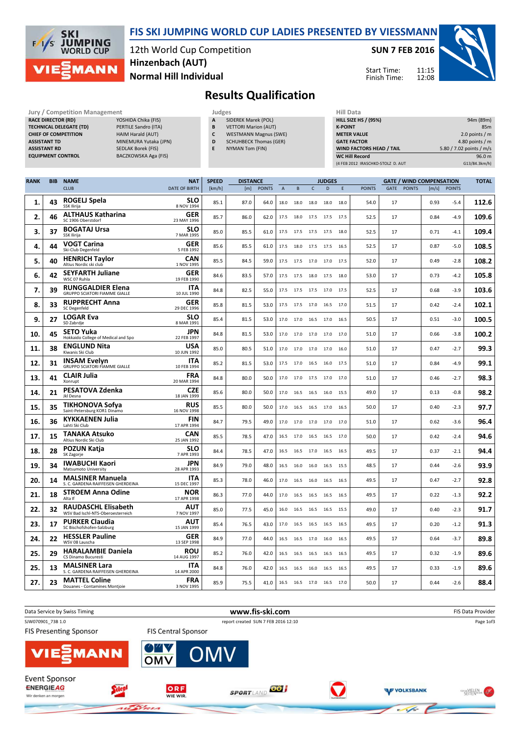

#### FIS SKI JUMPING WORLD CUP LADIES PRESENTED BY VIESSMANN

12th World Cup Competition Normal Hill Individual Hinzenbach (AUT)

SUN 7 FEB 2016

Start Time: Finish Time: 11:15 12:08



## Results Qualification

RACE DIRECTOR (RD)

Jury / Competition Management<br> **RACE DIRECTOR (RD)** YOSHIDA Chika (FIS) **A** SIDEREK Marek (POL) HILL SIZE HILL SIZE HILL SIZE TECHNICAL DELEGATE (TD) PERTILE Sandro (ITA) CHIEF OF COMPETITION HAIM Harald (AUT) ASSISTANT TD MINEMURA Yutaka (JPN) ASSISTANT RD SEDLAK Borek (FIS) EQUIPMENT CONTROL BACZKOWSKA Aga (FIS)

- **SIDEREK Marek (POL) B** VETTORI Marion (AUT)
- C WESTMANN Magnus (SWE)
- **D** SCHUHBECK Thomas (GER)
- E NYMAN Tom (FIN)

| niil Data                         |                          |
|-----------------------------------|--------------------------|
| <b>HILL SIZE HS / (95%)</b>       | 94m (89m)                |
| <b>K-POINT</b>                    | 85 <sub>m</sub>          |
| <b>METER VALUE</b>                | 2.0 points $/m$          |
| <b>GATE FACTOR</b>                | 4.80 points $/m$         |
| <b>WIND FACTORS HEAD / TAIL</b>   | 5.80 / 7.02 points / m/s |
| <b>WC Hill Record</b>             | 96.0 m                   |
| (4 FEB 2012 IRASCHKO-STOLZ D. AUT | G13/84.3km/h)            |

| <b>RANK</b> | <b>BIB</b> | <b>NAME</b>                                                      | <b>NAT</b>                | <b>SPEED</b> | <b>DISTANCE</b> |               |                |           |                     | <b>JUDGES</b> |       |               |      |               | <b>GATE / WIND COMPENSATION</b> |               | <b>TOTAL</b> |
|-------------|------------|------------------------------------------------------------------|---------------------------|--------------|-----------------|---------------|----------------|-----------|---------------------|---------------|-------|---------------|------|---------------|---------------------------------|---------------|--------------|
|             |            | <b>CLUB</b>                                                      | DATE OF BIRTH             | [km/h]       | [m]             | <b>POINTS</b> | $\overline{A}$ | B         | $\mathsf{C}$        | D             | Ε     | <b>POINTS</b> | GATE | <b>POINTS</b> | [m/s]                           | <b>POINTS</b> |              |
| 1.          | 43         | ROGELJ Spela<br>SSK Ilirija                                      | <b>SLO</b><br>8 NOV 1994  | 85.1         | 87.0            | 64.0          | 18.0           | 18.0      | 18.0                | 18.0          | 18.0  | 54.0          | 17   |               | 0.93                            | $-5.4$        | 112.6        |
| 2.          | 46         | <b>ALTHAUS Katharina</b><br>SC 1906 Oberstdorf                   | GER<br>23 MAY 1996        | 85.7         | 86.0            | 62.0          | 17.5           |           | 18.0 17.5 17.5      |               | 17.5  | 52.5          | 17   |               | 0.84                            | $-4.9$        | 109.6        |
| 3.          | 37         | <b>BOGATAJ Ursa</b><br>SSK Ilirija                               | <b>SLO</b><br>7 MAR 1995  | 85.0         | 85.5            | 61.0          | 17.5           | 17.5      | 17.5                | 17.5          | 18.0  | 52.5          | 17   |               | 0.71                            | $-4.1$        | 109.4        |
| 4.          | 44         | <b>VOGT Carina</b><br>Ski-Club Degenfeld                         | GER<br>5 FEB 1992         | 85.6         | 85.5            | 61.0          | 17.5           |           | 18.0 17.5 17.5      |               | 16.5  | 52.5          | 17   |               | 0.87                            | $-5.0$        | 108.5        |
| 5.          | 40         | <b>HENRICH Taylor</b><br>Altius Nordic ski club                  | <b>CAN</b><br>1 NOV 1995  | 85.5         | 84.5            | 59.0          | 17.5           |           | 17.5 17.0 17.0      |               | 17.5  | 52.0          | 17   |               | 0.49                            | $-2.8$        | 108.2        |
| 6.          | 42         | <b>SEYFARTH Juliane</b><br>WSC 07 Ruhla                          | GER<br>19 FEB 1990        | 84.6         | 83.5            | 57.0          | 17.5           | 17.5      | 18.0                | 17.5          | 18.0  | 53.0          | 17   |               | 0.73                            | $-4.2$        | 105.8        |
| 7.          | 39         | <b>RUNGGALDIER Elena</b><br><b>GRUPPO SCIATORI FIAMME GIALLE</b> | ITA<br>10 JUL 1990        | 84.8         | 82.5            | 55.0          | 17.5           |           | 17.5 17.5 17.0      |               | 17.5  | 52.5          | 17   |               | 0.68                            | $-3.9$        | 103.6        |
| 8.          | 33         | <b>RUPPRECHT Anna</b><br>SC Degenfeld                            | <b>GER</b><br>29 DEC 1996 | 85.8         | 81.5            | 53.0          | 17.5           |           | 17.5 17.0 16.5      |               | 17.0  | 51.5          | 17   |               | 0.42                            | $-2.4$        | 102.1        |
| 9.          | 27         | <b>LOGAR Eva</b><br>SD Zabrdje                                   | <b>SLO</b><br>8 MAR 1991  | 85.4         | 81.5            | 53.0          | 17.0           | 17.0      | 16.5                | 17.0          | 16.5  | 50.5          | 17   |               | 0.51                            | $-3.0$        | 100.5        |
| 10.         | 45         | <b>SETO Yuka</b><br>Hokkaido College of Medical and Spo          | <b>JPN</b><br>22 FEB 1997 | 84.8         | 81.5            | 53.0          | 17.0           |           | 17.0 17.0 17.0      |               | 17.0  | 51.0          | 17   |               | 0.66                            | $-3.8$        | 100.2        |
| 11.         | 38         | <b>ENGLUND Nita</b><br>Kiwanis Ski Club                          | USA<br>10 JUN 1992        | 85.0         | 80.5            | 51.0          | 17.0           |           | 17.0 17.0           | 17.0          | 16.0  | 51.0          | 17   |               | 0.47                            | $-2.7$        | 99.3         |
| 12.         | 31         | <b>INSAM Evelyn</b><br><b>GRUPPO SCIATORI FIAMME GIALLE</b>      | <b>ITA</b><br>10 FEB 1994 | 85.2         | 81.5            | 53.0          | 17.5           |           | 17.0 16.5 16.0      |               | -17.5 | 51.0          | 17   |               | 0.84                            | $-4.9$        | 99.1         |
| 13.         | 41         | <b>CLAIR Julia</b><br>Xonrupt                                    | FRA<br>20 MAR 1994        | 84.8         | 80.0            | 50.0          | 17.0           | 17.0      | 17.5 17.0           |               | 17.0  | 51.0          | 17   |               | 0.46                            | $-2.7$        | 98.3         |
| 14.         | 21         | <b>PESATOVA Zdenka</b><br>Jkl Desna                              | <b>CZE</b><br>18 JAN 1999 | 85.6         | 80.0            | 50.0          | 17.0           | 16.5      | 16.5                | 16.0          | 15.5  | 49.0          | 17   |               | 0.13                            | $-0.8$        | 98.2         |
| 15.         | 35         | <b>TIKHONOVA Sofva</b><br>Saint-Petersburg KOR1 Dinamo           | <b>RUS</b><br>16 NOV 1998 | 85.5         | 80.0            | 50.0          | 17.0           |           | 16.5 16.5 17.0      |               | 16.5  | 50.0          | 17   |               | 0.40                            | $-2.3$        | 97.7         |
| 16.         | 36         | <b>KYKKAENEN Julia</b><br>Lahti Ski Club                         | <b>FIN</b><br>17 APR 1994 | 84.7         | 79.5            | 49.0          | 17.0           | 17.0      | 17.0                | 17.0          | 17.0  | 51.0          | 17   |               | 0.62                            | $-3.6$        | 96.4         |
| 17.         | 15         | TANAKA Atsuko<br>Altius Nordic Ski Club                          | <b>CAN</b><br>25 JAN 1992 | 85.5         | 78.5            | 47.0          | 16.5           | 17.0      | 16.5                | 16.5          | 17.0  | 50.0          | 17   |               | 0.42                            | $-2.4$        | 94.6         |
| 18.         | 28         | <b>POZUN Katja</b><br>SK Zagorje                                 | <b>SLO</b><br>7 APR 1993  | 84.4         | 78.5            | 47.0          | 16.5           |           | 16.5 17.0 16.5      |               | 16.5  | 49.5          | 17   |               | 0.37                            | $-2.1$        | 94.4         |
| 19.         | 34         | <b>IWABUCHI Kaori</b><br>Matsumoto University                    | JPN<br>28 APR 1993        | 84.9         | 79.0            | 48.0          | 16.5           | 16.0      | 16.0                | 16.5          | 15.5  | 48.5          | 17   |               | 0.44                            | $-2.6$        | 93.9         |
| 20.         | 14         | <b>MALSINER Manuela</b><br>S. C. GARDENA RAIFFEISEN GHERDEINA    | <b>ITA</b><br>15 DEC 1997 | 85.3         | 78.0            | 46.0          | 17.0           | 16.5      | 16.0                | 16.5          | 16.5  | 49.5          | 17   |               | 0.47                            | $-2.7$        | 92.8         |
| 21.         | 18         | <b>STROEM Anna Odine</b><br>Alta If                              | NOR<br>17 APR 1998        | 86.3         | 77.0            | 44.0          | 17.0           |           | 16.5 16.5           | 16.5          | 16.5  | 49.5          | 17   |               | 0.22                            | $-1.3$        | 92.2         |
| 22.         | 32         | <b>RAUDASCHL Elisabeth</b><br>WSV Bad Ischl-NTS-Oberoesterreich  | <b>AUT</b><br>7 NOV 1997  | 85.0         | 77.5            | 45.0          | 16.0           | 16.5      | 16.5                | 16.5          | 15.5  | 49.0          | 17   |               | 0.40                            | $-2.3$        | 91.7         |
| 23.         | 17         | <b>PURKER Claudia</b><br>SC Bischofshofen-Salzburg               | AUT<br>15 JAN 1999        | 85.4         | 76.5            | 43.0          | 17.0           | 16.5      | 16.5                | 16.5          | 16.5  | 49.5          | 17   |               | 0.20                            | $-1.2$        | 91.3         |
| 24.         | 22         | <b>HESSLER Pauline</b><br>WSV 08 Lauscha                         | GER<br>13 SEP 1998        | 84.9         | 77.0            | 44.0          | 16.5           | 16.5 17.0 |                     | 16.0          | 16.5  | 49.5          | 17   |               | 0.64                            | $-3.7$        | 89.8         |
| 25.         | 29         | <b>HARALAMBIE Daniela</b><br>CS Dinamo Bucuresti                 | ROU<br>14 AUG 1997        | 85.2         | 76.0            | 42.0          | 16.5           | 16.5      | 16.5                | 16.5          | 16.5  | 49.5          | 17   |               | 0.32                            | $-1.9$        | 89.6         |
| 25.         | 13         | <b>MALSINER Lara</b><br>S. C. GARDENA RAIFFEISEN GHERDEINA       | <b>ITA</b><br>14 APR 2000 | 84.8         | 76.0            | 42.0          | 16.5           | 16.5      | 16.0                | 16.5          | 16.5  | 49.5          | 17   |               | 0.33                            | $-1.9$        | 89.6         |
| 27.         | 23         | <b>MATTEL Coline</b><br>Douanes - Contamines Montjoie            | <b>FRA</b><br>3 NOV 1995  | 85.9         | 75.5            | 41.0          |                |           | 16.5 16.5 17.0 16.5 |               | 17.0  | 50.0          | 17   |               | 0.44                            | $-2.6$        | 88.4         |

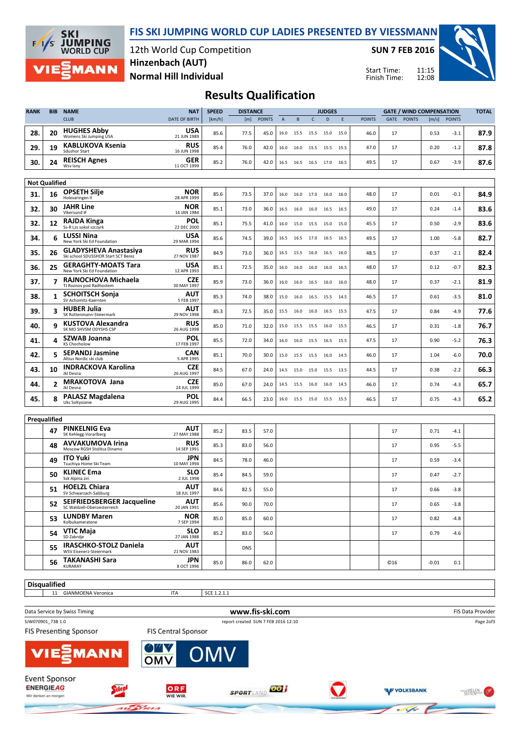



#### 12th World Cup Competition Normal Hill Individual Hinzenbach (AUT)

SUN 7 FEB 2016

Start Time: Finish Time: 11:15 12:08



### Results Qualification

| <b>CLUB</b><br><b>POINTS</b><br>E<br><b>POINTS</b><br>[m/s]<br><b>POINTS</b><br>DATE OF BIRTH<br>[m]<br>$\overline{A}$<br>B<br>$\mathsf{C}$<br>D<br><b>POINTS</b><br>GATE<br>[km/h]<br><b>HUGHES Abby</b><br>USA<br>20<br>28.<br>85.6<br>77.5<br>46.0<br>$-3.1$<br>45.0<br>17<br>0.53<br>15.0<br>16.0<br>15.5 15.5 15.0<br>Womens Ski Jumping USA<br>21 JUN 1989<br><b>KABLUKOVA Ksenia</b><br><b>RUS</b><br>19<br>29.<br>85.4<br>76.0<br>47.0<br>17<br>0.20<br>42.0<br>$-1.2$<br>16.0<br>16.0<br>15.5<br>15.5<br>15.5<br><b>Sdushor Start</b><br>16 JUN 1998<br><b>REISCH Agnes</b><br>GER<br>30.<br>24<br>$-3.9$<br>85.2<br>76.0<br>49.5<br>17<br>0.67<br>42.0<br>16.5 16.5 17.0<br>16.5<br>16.5<br>Wsv Isny<br>11 OCT 1999<br><b>Not Qualified</b><br><b>OPSETH Silje</b><br><b>NOR</b><br>16<br>31.<br>85.6<br>17<br>73.5<br>37.0<br>16.0<br>16.0 17.0<br>16.0<br>16.0<br>48.0<br>0.01<br>$-0.1$<br>Holevaringen Il<br>28 APR 1999<br>JAHR Line<br><b>NOR</b><br>32.<br>30<br>17<br>85.1<br>73.0<br>36.0<br>49.0<br>0.24<br>$-1.4$<br>16.5<br>16.0<br>16.0<br>16.5<br>16.5<br>Vikersund IF<br>16 JAN 1984<br><b>RAJDA Kinga</b><br><b>POL</b><br>12<br>32.<br>85.1<br>75.5<br>17<br>0.50<br>41.0<br>45.5<br>$-2.9$<br>16.0<br>15.0 15.5<br>15.0<br>15.0<br>Ss-R Lzs sokol szczyrk<br>22 DEC 2000<br><b>LUSSI Nina</b><br>USA<br>34.<br>6<br>85.6<br>74.5<br>49.5<br>17<br>1.00<br>$-5.8$<br>39.0<br>16.5<br>16.5<br>16.5 17.0 16.5<br>New York Ski Ed Foundation<br>29 MAR 1994<br><b>GLADYSHEVA Anastasiya</b><br><b>RUS</b><br>35.<br>26<br>84.9<br>0.37<br>73.0<br>36.0<br>48.5<br>17<br>$-2.1$<br>16.5<br>15.5<br>16.0<br>16.5<br>16.0<br>Ski school SDUSSHOR Start SCT Berez<br>27 NOV 1987<br><b>GERAGHTY-MOATS Tara</b><br>USA<br>36.<br>25<br>85.1<br>72.5<br>35.0<br>16.0<br>16.0<br>16.0<br>16.5<br>48.0<br>17<br>0.12<br>$-0.7$<br>16.0<br>New York Ski Ed Foundation<br>12 APR 1993<br>RAJNOCHOVA Michaela<br><b>CZE</b><br>37.<br>7<br>85.9<br>73.0<br>36.0<br>48.0<br>17<br>0.37<br>$-2.1$<br>16.0<br>16.0<br>16.5<br>16.0<br>16.0<br>TJ Roznov pod Radhostem<br>30 MAY 1997<br>AUT<br><b>SCHOITSCH Sonja</b><br>38.<br>85.3<br>74.0<br>17<br>0.61<br>$-3.5$<br>38.0<br>46.5<br>15.0<br>16.0 16.5 15.5<br>14.5<br>SV Achomitz-Kaernten<br>5 FEB 1997<br><b>HUBER Julia</b><br>AUT<br>39.<br>3<br>85.3<br>72.5<br>17<br>0.84<br>35.0<br>47.5<br>-4.9<br>15.5<br>16.0 16.0 16.5<br>15.5<br>SK Rottenmann-Steiermark<br>29 NOV 1998<br><b>KUSTOVA Alexandra</b><br><b>RUS</b><br>9<br>40.<br>85.0<br>71.0<br>17<br>0.31<br>32.0<br>46.5<br>$-1.8$<br>15.0<br>15.5<br>15.5<br>15.5<br>16.0<br>SK MO SHVSM ODYSHS CSP<br>26 AUG 1998<br><b>POL</b><br><b>SZWAB Joanna</b><br>4<br>72.0<br>0.90<br>41.<br>85.5<br>34.0<br>47.5<br>17<br>-5.2<br>16.0<br>16.0<br>15.5<br>16.5<br>15.5<br><b>KS Chocholow</b><br>17 FEB 1997<br><b>SEPANDJ Jasmine</b><br><b>CAN</b><br>42.<br>5<br>70.0<br>85.1<br>30.0<br>17<br>1.04<br>$-6.0$<br>15.0<br>15.5<br>15.5<br>16.0<br>14.5<br>46.0<br>Altius Nordic ski club<br>5 APR 1995<br><b>INDRACKOVA Karolina</b><br><b>CZE</b><br>10<br>43.<br>84.5<br>67.0<br>24.0<br>44.5<br>17<br>0.38<br>$-2.2$<br>14.5<br>15.0 15.0 15.5<br>13.5<br>Jkl Desna<br>26 AUG 1997<br>MRAKOTOVA Jana<br>CZE<br>2<br>44.<br>85.0<br>67.0<br>24.0<br>14.5<br>15.5 16.0<br>16.0<br>14.5<br>46.0<br>17<br>0.74<br>-4.3<br>Jkl Desna<br>24 JUL 1999<br><b>PALASZ Magdalena</b><br><b>POL</b><br>8<br>45.<br>17<br>0.75<br>84.4<br>66.5<br>23.0<br>46.5<br>$-4.3$<br>16.0<br>15.5 15.0 15.5<br>15.5<br>Uks Soltysianie<br>29 AUG 1995<br>Prequalified<br><b>PINKELNIG Eva</b><br>AUT<br>47<br>85.2<br>83.5<br>57.0<br>17<br>0.71<br>$-4.1$<br>SK Kehlegg-Vorarlberg<br>27 MAY 1988<br><b>AVVAKUMOVA Irina</b><br><b>RUS</b><br>48<br>85.3<br>83.0<br>56.0<br>17<br>0.95<br>$-5.5$<br>Moscow RGSH Stolitsa Dinamo<br>14 SEP 1991<br>JPN<br><b>ITO Yuki</b><br>49<br>84.5<br>78.0<br>46.0<br>17<br>0.59<br>$-3.4$<br>Tsuchiya Home Ski Team<br>10 MAY 1994<br><b>SLO</b><br><b>KLINEC Ema</b><br>50<br>85.4<br>84.5<br>59.0<br>17<br>0.47<br>$-2.7$<br>Ssk Alpina ziri<br>2 JUL 1998<br><b>HOELZL Chiara</b><br><b>AUT</b><br>51<br>84.6<br>82.5<br>17<br>$-3.8$<br>55.0<br>0.66<br>SV Schwarzach-Salzburg<br>18 JUL 1997<br>SEIFRIEDSBERGER Jacqueline<br>AUT<br>52<br>90.0<br>70.0<br>85.6<br>17<br>0.65<br>$-3.8$<br>SC Waldzell-Oberoesterreich<br>20 JAN 1991<br><b>LUNDBY Maren</b><br><b>NOR</b><br>53<br>85.0<br>85.0<br>60.0<br>0.82<br>$-4.8$<br>17<br>Kolbukameratene<br>7 SEP 1994<br><b>SLO</b><br>VTIC Maja<br>54<br>85.2<br>17<br>0.79<br>83.0<br>56.0<br>$-4.6$<br>SD Zabrdje<br>27 JAN 1988<br><b>IRASCHKO-STOLZ Daniela</b><br>AUT<br>55<br><b>DNS</b><br>WSV Eisenerz-Steiermark<br>21 NOV 1983<br><b>TAKANASHI Sara</b><br>JPN<br>56<br>85.0<br>86.0<br>62.0<br>C <sub>16</sub><br>$-0.01$<br>0.1 | <b>RANK</b> | <b>BIB</b> | <b>NAME</b> | <b>NAT</b> | <b>SPEED</b> | <b>DISTANCE</b> |  | <b>JUDGES</b> |  |  |  | <b>GATE / WIND COMPENSATION</b> | <b>TOTAL</b> |  |      |
|----------------------------------------------------------------------------------------------------------------------------------------------------------------------------------------------------------------------------------------------------------------------------------------------------------------------------------------------------------------------------------------------------------------------------------------------------------------------------------------------------------------------------------------------------------------------------------------------------------------------------------------------------------------------------------------------------------------------------------------------------------------------------------------------------------------------------------------------------------------------------------------------------------------------------------------------------------------------------------------------------------------------------------------------------------------------------------------------------------------------------------------------------------------------------------------------------------------------------------------------------------------------------------------------------------------------------------------------------------------------------------------------------------------------------------------------------------------------------------------------------------------------------------------------------------------------------------------------------------------------------------------------------------------------------------------------------------------------------------------------------------------------------------------------------------------------------------------------------------------------------------------------------------------------------------------------------------------------------------------------------------------------------------------------------------------------------------------------------------------------------------------------------------------------------------------------------------------------------------------------------------------------------------------------------------------------------------------------------------------------------------------------------------------------------------------------------------------------------------------------------------------------------------------------------------------------------------------------------------------------------------------------------------------------------------------------------------------------------------------------------------------------------------------------------------------------------------------------------------------------------------------------------------------------------------------------------------------------------------------------------------------------------------------------------------------------------------------------------------------------------------------------------------------------------------------------------------------------------------------------------------------------------------------------------------------------------------------------------------------------------------------------------------------------------------------------------------------------------------------------------------------------------------------------------------------------------------------------------------------------------------------------------------------------------------------------------------------------------------------------------------------------------------------------------------------------------------------------------------------------------------------------------------------------------------------------------------------------------------------------------------------------------------------------------------------------------------------------------------------------------------------------------------------------------------------------------------------------------------------------------------------------------------------------------------------------------------------------------------------------------------------------------------------------------------------------------------------------------------------------------------------------------------------------------------------------------------------------------------------------------------------------------------------------------------------------------------------------------------------------------------------------------------------------------------------------------------------------|-------------|------------|-------------|------------|--------------|-----------------|--|---------------|--|--|--|---------------------------------|--------------|--|------|
|                                                                                                                                                                                                                                                                                                                                                                                                                                                                                                                                                                                                                                                                                                                                                                                                                                                                                                                                                                                                                                                                                                                                                                                                                                                                                                                                                                                                                                                                                                                                                                                                                                                                                                                                                                                                                                                                                                                                                                                                                                                                                                                                                                                                                                                                                                                                                                                                                                                                                                                                                                                                                                                                                                                                                                                                                                                                                                                                                                                                                                                                                                                                                                                                                                                                                                                                                                                                                                                                                                                                                                                                                                                                                                                                                                                                                                                                                                                                                                                                                                                                                                                                                                                                                                                                                                                                                                                                                                                                                                                                                                                                                                                                                                                                                                                                                                              |             |            |             |            |              |                 |  |               |  |  |  |                                 |              |  |      |
|                                                                                                                                                                                                                                                                                                                                                                                                                                                                                                                                                                                                                                                                                                                                                                                                                                                                                                                                                                                                                                                                                                                                                                                                                                                                                                                                                                                                                                                                                                                                                                                                                                                                                                                                                                                                                                                                                                                                                                                                                                                                                                                                                                                                                                                                                                                                                                                                                                                                                                                                                                                                                                                                                                                                                                                                                                                                                                                                                                                                                                                                                                                                                                                                                                                                                                                                                                                                                                                                                                                                                                                                                                                                                                                                                                                                                                                                                                                                                                                                                                                                                                                                                                                                                                                                                                                                                                                                                                                                                                                                                                                                                                                                                                                                                                                                                                              |             |            |             |            |              |                 |  |               |  |  |  |                                 |              |  | 87.9 |
|                                                                                                                                                                                                                                                                                                                                                                                                                                                                                                                                                                                                                                                                                                                                                                                                                                                                                                                                                                                                                                                                                                                                                                                                                                                                                                                                                                                                                                                                                                                                                                                                                                                                                                                                                                                                                                                                                                                                                                                                                                                                                                                                                                                                                                                                                                                                                                                                                                                                                                                                                                                                                                                                                                                                                                                                                                                                                                                                                                                                                                                                                                                                                                                                                                                                                                                                                                                                                                                                                                                                                                                                                                                                                                                                                                                                                                                                                                                                                                                                                                                                                                                                                                                                                                                                                                                                                                                                                                                                                                                                                                                                                                                                                                                                                                                                                                              |             |            |             |            |              |                 |  |               |  |  |  |                                 |              |  | 87.8 |
|                                                                                                                                                                                                                                                                                                                                                                                                                                                                                                                                                                                                                                                                                                                                                                                                                                                                                                                                                                                                                                                                                                                                                                                                                                                                                                                                                                                                                                                                                                                                                                                                                                                                                                                                                                                                                                                                                                                                                                                                                                                                                                                                                                                                                                                                                                                                                                                                                                                                                                                                                                                                                                                                                                                                                                                                                                                                                                                                                                                                                                                                                                                                                                                                                                                                                                                                                                                                                                                                                                                                                                                                                                                                                                                                                                                                                                                                                                                                                                                                                                                                                                                                                                                                                                                                                                                                                                                                                                                                                                                                                                                                                                                                                                                                                                                                                                              |             |            |             |            |              |                 |  |               |  |  |  |                                 |              |  | 87.6 |
|                                                                                                                                                                                                                                                                                                                                                                                                                                                                                                                                                                                                                                                                                                                                                                                                                                                                                                                                                                                                                                                                                                                                                                                                                                                                                                                                                                                                                                                                                                                                                                                                                                                                                                                                                                                                                                                                                                                                                                                                                                                                                                                                                                                                                                                                                                                                                                                                                                                                                                                                                                                                                                                                                                                                                                                                                                                                                                                                                                                                                                                                                                                                                                                                                                                                                                                                                                                                                                                                                                                                                                                                                                                                                                                                                                                                                                                                                                                                                                                                                                                                                                                                                                                                                                                                                                                                                                                                                                                                                                                                                                                                                                                                                                                                                                                                                                              |             |            |             |            |              |                 |  |               |  |  |  |                                 |              |  |      |
|                                                                                                                                                                                                                                                                                                                                                                                                                                                                                                                                                                                                                                                                                                                                                                                                                                                                                                                                                                                                                                                                                                                                                                                                                                                                                                                                                                                                                                                                                                                                                                                                                                                                                                                                                                                                                                                                                                                                                                                                                                                                                                                                                                                                                                                                                                                                                                                                                                                                                                                                                                                                                                                                                                                                                                                                                                                                                                                                                                                                                                                                                                                                                                                                                                                                                                                                                                                                                                                                                                                                                                                                                                                                                                                                                                                                                                                                                                                                                                                                                                                                                                                                                                                                                                                                                                                                                                                                                                                                                                                                                                                                                                                                                                                                                                                                                                              |             |            |             |            |              |                 |  |               |  |  |  |                                 |              |  |      |
|                                                                                                                                                                                                                                                                                                                                                                                                                                                                                                                                                                                                                                                                                                                                                                                                                                                                                                                                                                                                                                                                                                                                                                                                                                                                                                                                                                                                                                                                                                                                                                                                                                                                                                                                                                                                                                                                                                                                                                                                                                                                                                                                                                                                                                                                                                                                                                                                                                                                                                                                                                                                                                                                                                                                                                                                                                                                                                                                                                                                                                                                                                                                                                                                                                                                                                                                                                                                                                                                                                                                                                                                                                                                                                                                                                                                                                                                                                                                                                                                                                                                                                                                                                                                                                                                                                                                                                                                                                                                                                                                                                                                                                                                                                                                                                                                                                              |             |            |             |            |              |                 |  |               |  |  |  |                                 |              |  | 84.9 |
|                                                                                                                                                                                                                                                                                                                                                                                                                                                                                                                                                                                                                                                                                                                                                                                                                                                                                                                                                                                                                                                                                                                                                                                                                                                                                                                                                                                                                                                                                                                                                                                                                                                                                                                                                                                                                                                                                                                                                                                                                                                                                                                                                                                                                                                                                                                                                                                                                                                                                                                                                                                                                                                                                                                                                                                                                                                                                                                                                                                                                                                                                                                                                                                                                                                                                                                                                                                                                                                                                                                                                                                                                                                                                                                                                                                                                                                                                                                                                                                                                                                                                                                                                                                                                                                                                                                                                                                                                                                                                                                                                                                                                                                                                                                                                                                                                                              |             |            |             |            |              |                 |  |               |  |  |  |                                 |              |  | 83.6 |
|                                                                                                                                                                                                                                                                                                                                                                                                                                                                                                                                                                                                                                                                                                                                                                                                                                                                                                                                                                                                                                                                                                                                                                                                                                                                                                                                                                                                                                                                                                                                                                                                                                                                                                                                                                                                                                                                                                                                                                                                                                                                                                                                                                                                                                                                                                                                                                                                                                                                                                                                                                                                                                                                                                                                                                                                                                                                                                                                                                                                                                                                                                                                                                                                                                                                                                                                                                                                                                                                                                                                                                                                                                                                                                                                                                                                                                                                                                                                                                                                                                                                                                                                                                                                                                                                                                                                                                                                                                                                                                                                                                                                                                                                                                                                                                                                                                              |             |            |             |            |              |                 |  |               |  |  |  |                                 |              |  | 83.6 |
|                                                                                                                                                                                                                                                                                                                                                                                                                                                                                                                                                                                                                                                                                                                                                                                                                                                                                                                                                                                                                                                                                                                                                                                                                                                                                                                                                                                                                                                                                                                                                                                                                                                                                                                                                                                                                                                                                                                                                                                                                                                                                                                                                                                                                                                                                                                                                                                                                                                                                                                                                                                                                                                                                                                                                                                                                                                                                                                                                                                                                                                                                                                                                                                                                                                                                                                                                                                                                                                                                                                                                                                                                                                                                                                                                                                                                                                                                                                                                                                                                                                                                                                                                                                                                                                                                                                                                                                                                                                                                                                                                                                                                                                                                                                                                                                                                                              |             |            |             |            |              |                 |  |               |  |  |  |                                 |              |  | 82.7 |
|                                                                                                                                                                                                                                                                                                                                                                                                                                                                                                                                                                                                                                                                                                                                                                                                                                                                                                                                                                                                                                                                                                                                                                                                                                                                                                                                                                                                                                                                                                                                                                                                                                                                                                                                                                                                                                                                                                                                                                                                                                                                                                                                                                                                                                                                                                                                                                                                                                                                                                                                                                                                                                                                                                                                                                                                                                                                                                                                                                                                                                                                                                                                                                                                                                                                                                                                                                                                                                                                                                                                                                                                                                                                                                                                                                                                                                                                                                                                                                                                                                                                                                                                                                                                                                                                                                                                                                                                                                                                                                                                                                                                                                                                                                                                                                                                                                              |             |            |             |            |              |                 |  |               |  |  |  |                                 |              |  | 82.4 |
|                                                                                                                                                                                                                                                                                                                                                                                                                                                                                                                                                                                                                                                                                                                                                                                                                                                                                                                                                                                                                                                                                                                                                                                                                                                                                                                                                                                                                                                                                                                                                                                                                                                                                                                                                                                                                                                                                                                                                                                                                                                                                                                                                                                                                                                                                                                                                                                                                                                                                                                                                                                                                                                                                                                                                                                                                                                                                                                                                                                                                                                                                                                                                                                                                                                                                                                                                                                                                                                                                                                                                                                                                                                                                                                                                                                                                                                                                                                                                                                                                                                                                                                                                                                                                                                                                                                                                                                                                                                                                                                                                                                                                                                                                                                                                                                                                                              |             |            |             |            |              |                 |  |               |  |  |  |                                 |              |  | 82.3 |
|                                                                                                                                                                                                                                                                                                                                                                                                                                                                                                                                                                                                                                                                                                                                                                                                                                                                                                                                                                                                                                                                                                                                                                                                                                                                                                                                                                                                                                                                                                                                                                                                                                                                                                                                                                                                                                                                                                                                                                                                                                                                                                                                                                                                                                                                                                                                                                                                                                                                                                                                                                                                                                                                                                                                                                                                                                                                                                                                                                                                                                                                                                                                                                                                                                                                                                                                                                                                                                                                                                                                                                                                                                                                                                                                                                                                                                                                                                                                                                                                                                                                                                                                                                                                                                                                                                                                                                                                                                                                                                                                                                                                                                                                                                                                                                                                                                              |             |            |             |            |              |                 |  |               |  |  |  |                                 |              |  | 81.9 |
|                                                                                                                                                                                                                                                                                                                                                                                                                                                                                                                                                                                                                                                                                                                                                                                                                                                                                                                                                                                                                                                                                                                                                                                                                                                                                                                                                                                                                                                                                                                                                                                                                                                                                                                                                                                                                                                                                                                                                                                                                                                                                                                                                                                                                                                                                                                                                                                                                                                                                                                                                                                                                                                                                                                                                                                                                                                                                                                                                                                                                                                                                                                                                                                                                                                                                                                                                                                                                                                                                                                                                                                                                                                                                                                                                                                                                                                                                                                                                                                                                                                                                                                                                                                                                                                                                                                                                                                                                                                                                                                                                                                                                                                                                                                                                                                                                                              |             |            |             |            |              |                 |  |               |  |  |  |                                 |              |  | 81.0 |
|                                                                                                                                                                                                                                                                                                                                                                                                                                                                                                                                                                                                                                                                                                                                                                                                                                                                                                                                                                                                                                                                                                                                                                                                                                                                                                                                                                                                                                                                                                                                                                                                                                                                                                                                                                                                                                                                                                                                                                                                                                                                                                                                                                                                                                                                                                                                                                                                                                                                                                                                                                                                                                                                                                                                                                                                                                                                                                                                                                                                                                                                                                                                                                                                                                                                                                                                                                                                                                                                                                                                                                                                                                                                                                                                                                                                                                                                                                                                                                                                                                                                                                                                                                                                                                                                                                                                                                                                                                                                                                                                                                                                                                                                                                                                                                                                                                              |             |            |             |            |              |                 |  |               |  |  |  |                                 |              |  | 77.6 |
|                                                                                                                                                                                                                                                                                                                                                                                                                                                                                                                                                                                                                                                                                                                                                                                                                                                                                                                                                                                                                                                                                                                                                                                                                                                                                                                                                                                                                                                                                                                                                                                                                                                                                                                                                                                                                                                                                                                                                                                                                                                                                                                                                                                                                                                                                                                                                                                                                                                                                                                                                                                                                                                                                                                                                                                                                                                                                                                                                                                                                                                                                                                                                                                                                                                                                                                                                                                                                                                                                                                                                                                                                                                                                                                                                                                                                                                                                                                                                                                                                                                                                                                                                                                                                                                                                                                                                                                                                                                                                                                                                                                                                                                                                                                                                                                                                                              |             |            |             |            |              |                 |  |               |  |  |  |                                 |              |  | 76.7 |
|                                                                                                                                                                                                                                                                                                                                                                                                                                                                                                                                                                                                                                                                                                                                                                                                                                                                                                                                                                                                                                                                                                                                                                                                                                                                                                                                                                                                                                                                                                                                                                                                                                                                                                                                                                                                                                                                                                                                                                                                                                                                                                                                                                                                                                                                                                                                                                                                                                                                                                                                                                                                                                                                                                                                                                                                                                                                                                                                                                                                                                                                                                                                                                                                                                                                                                                                                                                                                                                                                                                                                                                                                                                                                                                                                                                                                                                                                                                                                                                                                                                                                                                                                                                                                                                                                                                                                                                                                                                                                                                                                                                                                                                                                                                                                                                                                                              |             |            |             |            |              |                 |  |               |  |  |  |                                 |              |  | 76.3 |
|                                                                                                                                                                                                                                                                                                                                                                                                                                                                                                                                                                                                                                                                                                                                                                                                                                                                                                                                                                                                                                                                                                                                                                                                                                                                                                                                                                                                                                                                                                                                                                                                                                                                                                                                                                                                                                                                                                                                                                                                                                                                                                                                                                                                                                                                                                                                                                                                                                                                                                                                                                                                                                                                                                                                                                                                                                                                                                                                                                                                                                                                                                                                                                                                                                                                                                                                                                                                                                                                                                                                                                                                                                                                                                                                                                                                                                                                                                                                                                                                                                                                                                                                                                                                                                                                                                                                                                                                                                                                                                                                                                                                                                                                                                                                                                                                                                              |             |            |             |            |              |                 |  |               |  |  |  |                                 |              |  | 70.0 |
|                                                                                                                                                                                                                                                                                                                                                                                                                                                                                                                                                                                                                                                                                                                                                                                                                                                                                                                                                                                                                                                                                                                                                                                                                                                                                                                                                                                                                                                                                                                                                                                                                                                                                                                                                                                                                                                                                                                                                                                                                                                                                                                                                                                                                                                                                                                                                                                                                                                                                                                                                                                                                                                                                                                                                                                                                                                                                                                                                                                                                                                                                                                                                                                                                                                                                                                                                                                                                                                                                                                                                                                                                                                                                                                                                                                                                                                                                                                                                                                                                                                                                                                                                                                                                                                                                                                                                                                                                                                                                                                                                                                                                                                                                                                                                                                                                                              |             |            |             |            |              |                 |  |               |  |  |  |                                 |              |  | 66.3 |
|                                                                                                                                                                                                                                                                                                                                                                                                                                                                                                                                                                                                                                                                                                                                                                                                                                                                                                                                                                                                                                                                                                                                                                                                                                                                                                                                                                                                                                                                                                                                                                                                                                                                                                                                                                                                                                                                                                                                                                                                                                                                                                                                                                                                                                                                                                                                                                                                                                                                                                                                                                                                                                                                                                                                                                                                                                                                                                                                                                                                                                                                                                                                                                                                                                                                                                                                                                                                                                                                                                                                                                                                                                                                                                                                                                                                                                                                                                                                                                                                                                                                                                                                                                                                                                                                                                                                                                                                                                                                                                                                                                                                                                                                                                                                                                                                                                              |             |            |             |            |              |                 |  |               |  |  |  |                                 |              |  | 65.7 |
|                                                                                                                                                                                                                                                                                                                                                                                                                                                                                                                                                                                                                                                                                                                                                                                                                                                                                                                                                                                                                                                                                                                                                                                                                                                                                                                                                                                                                                                                                                                                                                                                                                                                                                                                                                                                                                                                                                                                                                                                                                                                                                                                                                                                                                                                                                                                                                                                                                                                                                                                                                                                                                                                                                                                                                                                                                                                                                                                                                                                                                                                                                                                                                                                                                                                                                                                                                                                                                                                                                                                                                                                                                                                                                                                                                                                                                                                                                                                                                                                                                                                                                                                                                                                                                                                                                                                                                                                                                                                                                                                                                                                                                                                                                                                                                                                                                              |             |            |             |            |              |                 |  |               |  |  |  |                                 |              |  | 65.2 |
|                                                                                                                                                                                                                                                                                                                                                                                                                                                                                                                                                                                                                                                                                                                                                                                                                                                                                                                                                                                                                                                                                                                                                                                                                                                                                                                                                                                                                                                                                                                                                                                                                                                                                                                                                                                                                                                                                                                                                                                                                                                                                                                                                                                                                                                                                                                                                                                                                                                                                                                                                                                                                                                                                                                                                                                                                                                                                                                                                                                                                                                                                                                                                                                                                                                                                                                                                                                                                                                                                                                                                                                                                                                                                                                                                                                                                                                                                                                                                                                                                                                                                                                                                                                                                                                                                                                                                                                                                                                                                                                                                                                                                                                                                                                                                                                                                                              |             |            |             |            |              |                 |  |               |  |  |  |                                 |              |  |      |
|                                                                                                                                                                                                                                                                                                                                                                                                                                                                                                                                                                                                                                                                                                                                                                                                                                                                                                                                                                                                                                                                                                                                                                                                                                                                                                                                                                                                                                                                                                                                                                                                                                                                                                                                                                                                                                                                                                                                                                                                                                                                                                                                                                                                                                                                                                                                                                                                                                                                                                                                                                                                                                                                                                                                                                                                                                                                                                                                                                                                                                                                                                                                                                                                                                                                                                                                                                                                                                                                                                                                                                                                                                                                                                                                                                                                                                                                                                                                                                                                                                                                                                                                                                                                                                                                                                                                                                                                                                                                                                                                                                                                                                                                                                                                                                                                                                              |             |            |             |            |              |                 |  |               |  |  |  |                                 |              |  |      |
|                                                                                                                                                                                                                                                                                                                                                                                                                                                                                                                                                                                                                                                                                                                                                                                                                                                                                                                                                                                                                                                                                                                                                                                                                                                                                                                                                                                                                                                                                                                                                                                                                                                                                                                                                                                                                                                                                                                                                                                                                                                                                                                                                                                                                                                                                                                                                                                                                                                                                                                                                                                                                                                                                                                                                                                                                                                                                                                                                                                                                                                                                                                                                                                                                                                                                                                                                                                                                                                                                                                                                                                                                                                                                                                                                                                                                                                                                                                                                                                                                                                                                                                                                                                                                                                                                                                                                                                                                                                                                                                                                                                                                                                                                                                                                                                                                                              |             |            |             |            |              |                 |  |               |  |  |  |                                 |              |  |      |
|                                                                                                                                                                                                                                                                                                                                                                                                                                                                                                                                                                                                                                                                                                                                                                                                                                                                                                                                                                                                                                                                                                                                                                                                                                                                                                                                                                                                                                                                                                                                                                                                                                                                                                                                                                                                                                                                                                                                                                                                                                                                                                                                                                                                                                                                                                                                                                                                                                                                                                                                                                                                                                                                                                                                                                                                                                                                                                                                                                                                                                                                                                                                                                                                                                                                                                                                                                                                                                                                                                                                                                                                                                                                                                                                                                                                                                                                                                                                                                                                                                                                                                                                                                                                                                                                                                                                                                                                                                                                                                                                                                                                                                                                                                                                                                                                                                              |             |            |             |            |              |                 |  |               |  |  |  |                                 |              |  |      |
|                                                                                                                                                                                                                                                                                                                                                                                                                                                                                                                                                                                                                                                                                                                                                                                                                                                                                                                                                                                                                                                                                                                                                                                                                                                                                                                                                                                                                                                                                                                                                                                                                                                                                                                                                                                                                                                                                                                                                                                                                                                                                                                                                                                                                                                                                                                                                                                                                                                                                                                                                                                                                                                                                                                                                                                                                                                                                                                                                                                                                                                                                                                                                                                                                                                                                                                                                                                                                                                                                                                                                                                                                                                                                                                                                                                                                                                                                                                                                                                                                                                                                                                                                                                                                                                                                                                                                                                                                                                                                                                                                                                                                                                                                                                                                                                                                                              |             |            |             |            |              |                 |  |               |  |  |  |                                 |              |  |      |
|                                                                                                                                                                                                                                                                                                                                                                                                                                                                                                                                                                                                                                                                                                                                                                                                                                                                                                                                                                                                                                                                                                                                                                                                                                                                                                                                                                                                                                                                                                                                                                                                                                                                                                                                                                                                                                                                                                                                                                                                                                                                                                                                                                                                                                                                                                                                                                                                                                                                                                                                                                                                                                                                                                                                                                                                                                                                                                                                                                                                                                                                                                                                                                                                                                                                                                                                                                                                                                                                                                                                                                                                                                                                                                                                                                                                                                                                                                                                                                                                                                                                                                                                                                                                                                                                                                                                                                                                                                                                                                                                                                                                                                                                                                                                                                                                                                              |             |            |             |            |              |                 |  |               |  |  |  |                                 |              |  |      |
|                                                                                                                                                                                                                                                                                                                                                                                                                                                                                                                                                                                                                                                                                                                                                                                                                                                                                                                                                                                                                                                                                                                                                                                                                                                                                                                                                                                                                                                                                                                                                                                                                                                                                                                                                                                                                                                                                                                                                                                                                                                                                                                                                                                                                                                                                                                                                                                                                                                                                                                                                                                                                                                                                                                                                                                                                                                                                                                                                                                                                                                                                                                                                                                                                                                                                                                                                                                                                                                                                                                                                                                                                                                                                                                                                                                                                                                                                                                                                                                                                                                                                                                                                                                                                                                                                                                                                                                                                                                                                                                                                                                                                                                                                                                                                                                                                                              |             |            |             |            |              |                 |  |               |  |  |  |                                 |              |  |      |
|                                                                                                                                                                                                                                                                                                                                                                                                                                                                                                                                                                                                                                                                                                                                                                                                                                                                                                                                                                                                                                                                                                                                                                                                                                                                                                                                                                                                                                                                                                                                                                                                                                                                                                                                                                                                                                                                                                                                                                                                                                                                                                                                                                                                                                                                                                                                                                                                                                                                                                                                                                                                                                                                                                                                                                                                                                                                                                                                                                                                                                                                                                                                                                                                                                                                                                                                                                                                                                                                                                                                                                                                                                                                                                                                                                                                                                                                                                                                                                                                                                                                                                                                                                                                                                                                                                                                                                                                                                                                                                                                                                                                                                                                                                                                                                                                                                              |             |            |             |            |              |                 |  |               |  |  |  |                                 |              |  |      |
|                                                                                                                                                                                                                                                                                                                                                                                                                                                                                                                                                                                                                                                                                                                                                                                                                                                                                                                                                                                                                                                                                                                                                                                                                                                                                                                                                                                                                                                                                                                                                                                                                                                                                                                                                                                                                                                                                                                                                                                                                                                                                                                                                                                                                                                                                                                                                                                                                                                                                                                                                                                                                                                                                                                                                                                                                                                                                                                                                                                                                                                                                                                                                                                                                                                                                                                                                                                                                                                                                                                                                                                                                                                                                                                                                                                                                                                                                                                                                                                                                                                                                                                                                                                                                                                                                                                                                                                                                                                                                                                                                                                                                                                                                                                                                                                                                                              |             |            |             |            |              |                 |  |               |  |  |  |                                 |              |  |      |
|                                                                                                                                                                                                                                                                                                                                                                                                                                                                                                                                                                                                                                                                                                                                                                                                                                                                                                                                                                                                                                                                                                                                                                                                                                                                                                                                                                                                                                                                                                                                                                                                                                                                                                                                                                                                                                                                                                                                                                                                                                                                                                                                                                                                                                                                                                                                                                                                                                                                                                                                                                                                                                                                                                                                                                                                                                                                                                                                                                                                                                                                                                                                                                                                                                                                                                                                                                                                                                                                                                                                                                                                                                                                                                                                                                                                                                                                                                                                                                                                                                                                                                                                                                                                                                                                                                                                                                                                                                                                                                                                                                                                                                                                                                                                                                                                                                              |             |            |             |            |              |                 |  |               |  |  |  |                                 |              |  |      |
|                                                                                                                                                                                                                                                                                                                                                                                                                                                                                                                                                                                                                                                                                                                                                                                                                                                                                                                                                                                                                                                                                                                                                                                                                                                                                                                                                                                                                                                                                                                                                                                                                                                                                                                                                                                                                                                                                                                                                                                                                                                                                                                                                                                                                                                                                                                                                                                                                                                                                                                                                                                                                                                                                                                                                                                                                                                                                                                                                                                                                                                                                                                                                                                                                                                                                                                                                                                                                                                                                                                                                                                                                                                                                                                                                                                                                                                                                                                                                                                                                                                                                                                                                                                                                                                                                                                                                                                                                                                                                                                                                                                                                                                                                                                                                                                                                                              |             |            |             |            |              |                 |  |               |  |  |  |                                 |              |  |      |
|                                                                                                                                                                                                                                                                                                                                                                                                                                                                                                                                                                                                                                                                                                                                                                                                                                                                                                                                                                                                                                                                                                                                                                                                                                                                                                                                                                                                                                                                                                                                                                                                                                                                                                                                                                                                                                                                                                                                                                                                                                                                                                                                                                                                                                                                                                                                                                                                                                                                                                                                                                                                                                                                                                                                                                                                                                                                                                                                                                                                                                                                                                                                                                                                                                                                                                                                                                                                                                                                                                                                                                                                                                                                                                                                                                                                                                                                                                                                                                                                                                                                                                                                                                                                                                                                                                                                                                                                                                                                                                                                                                                                                                                                                                                                                                                                                                              |             |            | KURARAY     | 8 OCT 1996 |              |                 |  |               |  |  |  |                                 |              |  |      |

**Disqualified** 

11 GIANMOENA Veronica ITA SCE 1.2.1.1